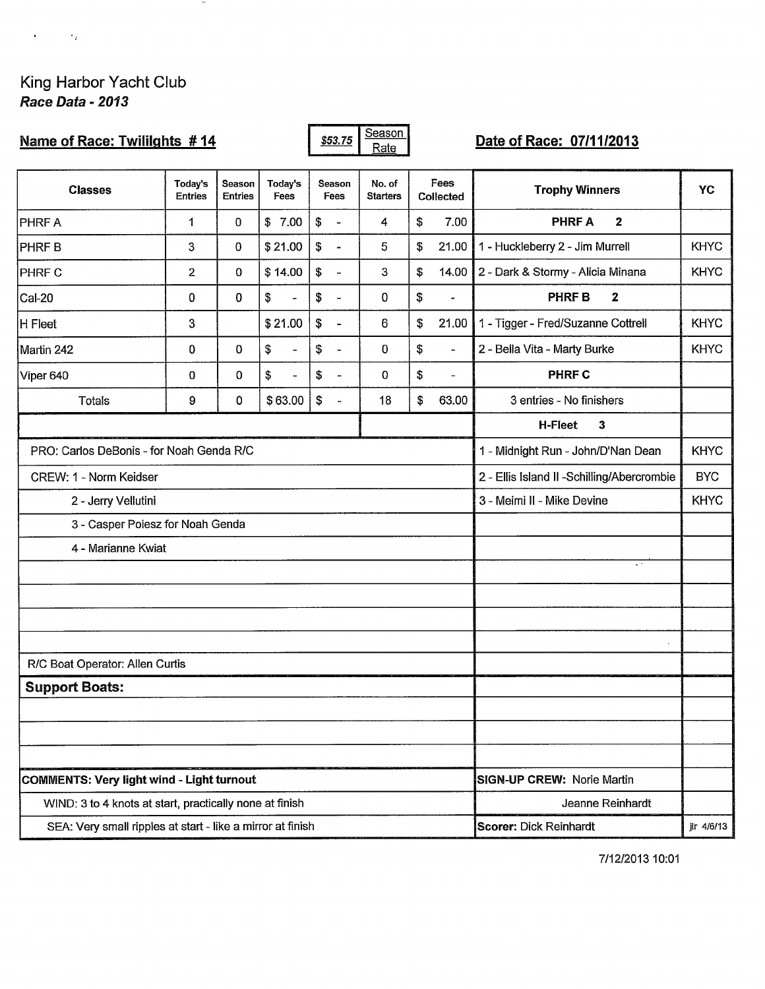$\mathbf{r} = \mathbf{r} \times \mathbf{r}$ 

## Name of Race: Twililghts #14

 $\sim$ 

Season \$53.75 Rate

## Date of Race: 07/11/2013

| <b>Classes</b>                                             | Today's<br><b>Entries</b> | Season<br><b>Entries</b>                   | Today's<br>Fees      | Season<br>Fees                                    | No. of<br><b>Starters</b> |                      | Fees<br>Collected        | <b>Trophy Winners</b>                             | YC          |  |  |
|------------------------------------------------------------|---------------------------|--------------------------------------------|----------------------|---------------------------------------------------|---------------------------|----------------------|--------------------------|---------------------------------------------------|-------------|--|--|
| <b>PHRFA</b>                                               | 1                         | 0                                          | \$7.00               | \$<br>$\bar{\phantom{a}}$                         | 4                         | \$                   | 7.00                     | <b>PHRFA</b><br>$\mathbf{2}$                      |             |  |  |
| PHRF B                                                     | 3                         | 0                                          | \$21.00              | \$<br>$\blacksquare$                              | 5                         | \$                   | 21.00                    | 1 - Huckleberry 2 - Jim Murrell                   | <b>KHYC</b> |  |  |
| <b>PHRF C</b>                                              | $\overline{2}$            | 0                                          | \$14.00              | $\mathfrak{P}$<br>$\overline{\phantom{a}}$        | 3                         | \$                   | 14.00                    | 2 - Dark & Stormy - Alicia Minana                 | <b>KHYC</b> |  |  |
| Cal-20                                                     | 0                         | $\bf{0}$                                   | \$<br>÷.             | \$<br>$\overline{\phantom{a}}$                    | 0                         | \$                   | $\overline{a}$           | <b>PHRFB</b><br>$\mathbf{z}$                      |             |  |  |
| H Fleet                                                    | $\mathbf{3}$              |                                            | \$21.00              | \$<br>$\blacksquare$                              | 6                         | \$                   | 21.00                    | 1 - Tigger - Fred/Suzanne Cottrell                | <b>KHYC</b> |  |  |
| Martin 242                                                 | 0                         | 0                                          | \$<br>$\blacksquare$ | \$<br>$\overline{a}$                              | 0                         | $\mathbb S$          | $\overline{\phantom{a}}$ | 2 - Bella Vita - Marty Burke                      | <b>KHYC</b> |  |  |
| Viper 640                                                  | 0                         | 0                                          | \$<br>$\blacksquare$ | \$<br>$\blacksquare$                              | 0                         | $\pmb{\mathfrak{s}}$ | $\blacksquare$           | <b>PHRF C</b>                                     |             |  |  |
| Totals                                                     | 9                         | 0                                          | \$63.00              | $\boldsymbol{\theta}$<br>$\overline{\phantom{a}}$ | 18                        | \$                   | 63.00                    | 3 entries - No finishers                          |             |  |  |
|                                                            |                           |                                            |                      |                                                   |                           |                      |                          | H-Fleet<br>3                                      |             |  |  |
| PRO: Carlos DeBonis - for Noah Genda R/C                   |                           |                                            |                      |                                                   |                           |                      |                          | <b>KHYC</b><br>1 - Midnight Run - John/D'Nan Dean |             |  |  |
| CREW: 1 - Norm Keidser                                     |                           | 2 - Ellis Island II -Schilling/Abercrombie | <b>BYC</b>           |                                                   |                           |                      |                          |                                                   |             |  |  |
| 2 - Jerry Vellutini                                        |                           | 3 - Meimi II - Mike Devine                 | <b>KHYC</b>          |                                                   |                           |                      |                          |                                                   |             |  |  |
| 3 - Casper Poiesz for Noah Genda                           |                           |                                            |                      |                                                   |                           |                      |                          |                                                   |             |  |  |
| 4 - Marianne Kwiat                                         |                           |                                            |                      |                                                   |                           |                      |                          |                                                   |             |  |  |
|                                                            |                           |                                            |                      |                                                   |                           |                      |                          | $\sim$ $^{\circ}$                                 |             |  |  |
|                                                            |                           |                                            |                      |                                                   |                           |                      |                          |                                                   |             |  |  |
|                                                            |                           |                                            |                      |                                                   |                           |                      |                          |                                                   |             |  |  |
|                                                            |                           |                                            |                      |                                                   |                           |                      |                          |                                                   |             |  |  |
| R/C Boat Operator: Allen Curtis                            |                           |                                            |                      |                                                   |                           |                      |                          |                                                   |             |  |  |
| <b>Support Boats:</b>                                      |                           |                                            |                      |                                                   |                           |                      |                          |                                                   |             |  |  |
|                                                            |                           |                                            |                      |                                                   |                           |                      |                          |                                                   |             |  |  |
|                                                            |                           |                                            |                      |                                                   |                           |                      |                          |                                                   |             |  |  |
| COMMENTS: Very light wind - Light turnout                  |                           | SIGN-UP CREW: Norie Martin                 |                      |                                                   |                           |                      |                          |                                                   |             |  |  |
| WIND: 3 to 4 knots at start, practically none at finish    |                           | Jeanne Reinhardt                           |                      |                                                   |                           |                      |                          |                                                   |             |  |  |
| SEA: Very small ripples at start - like a mirror at finish |                           |                                            |                      |                                                   |                           |                      |                          | Scorer: Dick Reinhardt<br>jlr 4/6/13              |             |  |  |

7/12/2013 10:01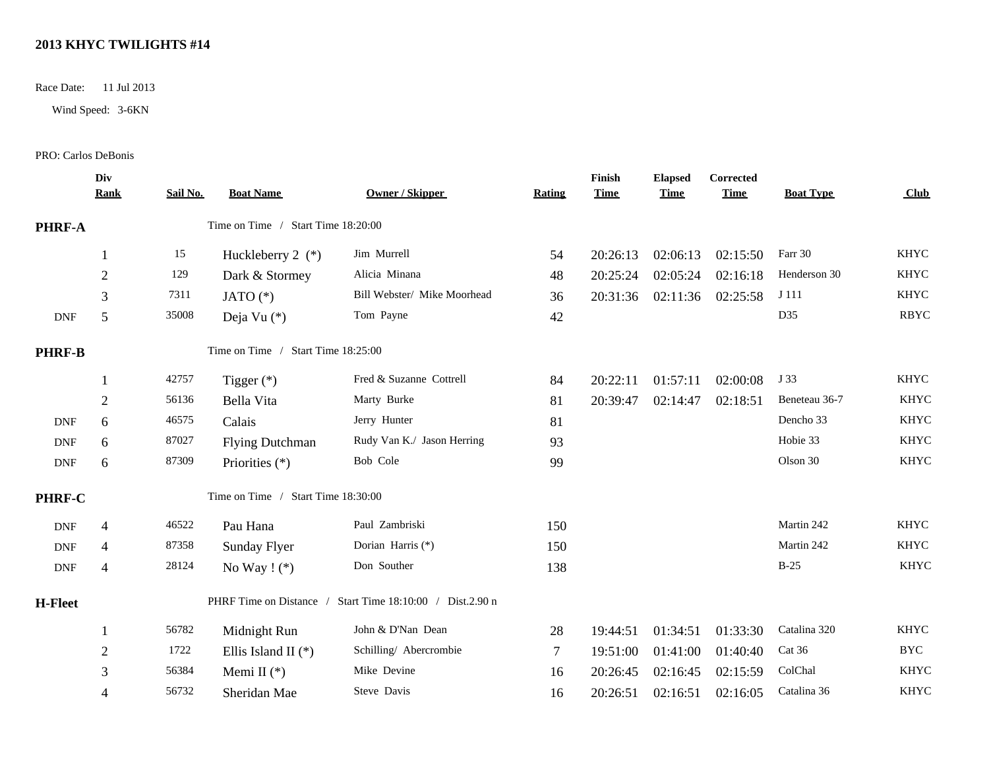## **2013 KHYC TWILIGHTS #14**

Race Date: 11 Jul 2013

Wind Speed: 3-6KN

PRO: Carlos DeBonis

|                             | Div<br><b>Rank</b>                 | Sail No. | <b>Boat Name</b>                   | Owner / Skipper                                           | <b>Rating</b>  | Finish<br><b>Time</b> | <b>Elapsed</b><br><b>Time</b> | Corrected<br><b>Time</b> | <b>Boat Type</b> | <b>Club</b> |
|-----------------------------|------------------------------------|----------|------------------------------------|-----------------------------------------------------------|----------------|-----------------------|-------------------------------|--------------------------|------------------|-------------|
| <b>PHRF-A</b>               | Time on Time / Start Time 18:20:00 |          |                                    |                                                           |                |                       |                               |                          |                  |             |
|                             | 1                                  | 15       | Huckleberry $2$ (*)                | Jim Murrell                                               | 54             | 20:26:13              | 02:06:13                      | 02:15:50                 | Farr 30          | <b>KHYC</b> |
|                             | $\overline{2}$                     | 129      | Dark & Stormey                     | Alicia Minana                                             | 48             | 20:25:24              | 02:05:24                      | 02:16:18                 | Henderson 30     | <b>KHYC</b> |
|                             | 3                                  | 7311     | JATO $(*)$                         | Bill Webster/ Mike Moorhead                               | 36             | 20:31:36              | 02:11:36                      | 02:25:58                 | J 111            | <b>KHYC</b> |
| <b>DNF</b>                  | 5                                  | 35008    | Deja Vu (*)                        | Tom Payne                                                 | 42             |                       |                               |                          | D35              | <b>RBYC</b> |
| <b>PHRF-B</b>               |                                    |          | Time on Time / Start Time 18:25:00 |                                                           |                |                       |                               |                          |                  |             |
|                             | -1                                 | 42757    | Tigger $(*)$                       | Fred & Suzanne Cottrell                                   | 84             | 20:22:11              | 01:57:11                      | 02:00:08                 | J 33             | <b>KHYC</b> |
|                             | $\overline{2}$                     | 56136    | Bella Vita                         | Marty Burke                                               | 81             | 20:39:47              | 02:14:47                      | 02:18:51                 | Beneteau 36-7    | <b>KHYC</b> |
| <b>DNF</b>                  | 6                                  | 46575    | Calais                             | Jerry Hunter                                              | 81             |                       |                               |                          | Dencho 33        | <b>KHYC</b> |
| <b>DNF</b>                  | 6                                  | 87027    | <b>Flying Dutchman</b>             | Rudy Van K./ Jason Herring                                | 93             |                       |                               |                          | Hobie 33         | <b>KHYC</b> |
| $\ensuremath{\mathsf{DNF}}$ | 6                                  | 87309    | Priorities (*)                     | Bob Cole                                                  | 99             |                       |                               |                          | Olson 30         | <b>KHYC</b> |
| PHRF-C                      |                                    |          | Time on Time / Start Time 18:30:00 |                                                           |                |                       |                               |                          |                  |             |
| <b>DNF</b>                  | $\overline{4}$                     | 46522    | Pau Hana                           | Paul Zambriski                                            | 150            |                       |                               |                          | Martin 242       | <b>KHYC</b> |
| <b>DNF</b>                  | $\overline{4}$                     | 87358    | Sunday Flyer                       | Dorian Harris (*)                                         | 150            |                       |                               |                          | Martin 242       | <b>KHYC</b> |
| <b>DNF</b>                  | $\overline{4}$                     | 28124    | No Way $!$ (*)                     | Don Souther                                               | 138            |                       |                               |                          | $B-25$           | <b>KHYC</b> |
| <b>H-Fleet</b>              |                                    |          |                                    | PHRF Time on Distance / Start Time 18:10:00 / Dist.2.90 n |                |                       |                               |                          |                  |             |
|                             | 1                                  | 56782    | Midnight Run                       | John & D'Nan Dean                                         | 28             | 19:44:51              | 01:34:51                      | 01:33:30                 | Catalina 320     | <b>KHYC</b> |
|                             | $\overline{2}$                     | 1722     | Ellis Island II $(*)$              | Schilling/ Abercrombie                                    | $\overline{7}$ | 19:51:00              | 01:41:00                      | 01:40:40                 | Cat 36           | <b>BYC</b>  |
|                             | 3                                  | 56384    | Memi II $(*)$                      | Mike Devine                                               | 16             | 20:26:45              | 02:16:45                      | 02:15:59                 | ColChal          | <b>KHYC</b> |
|                             | $\overline{4}$                     | 56732    | Sheridan Mae                       | Steve Davis                                               | 16             | 20:26:51              | 02:16:51                      | 02:16:05                 | Catalina 36      | <b>KHYC</b> |